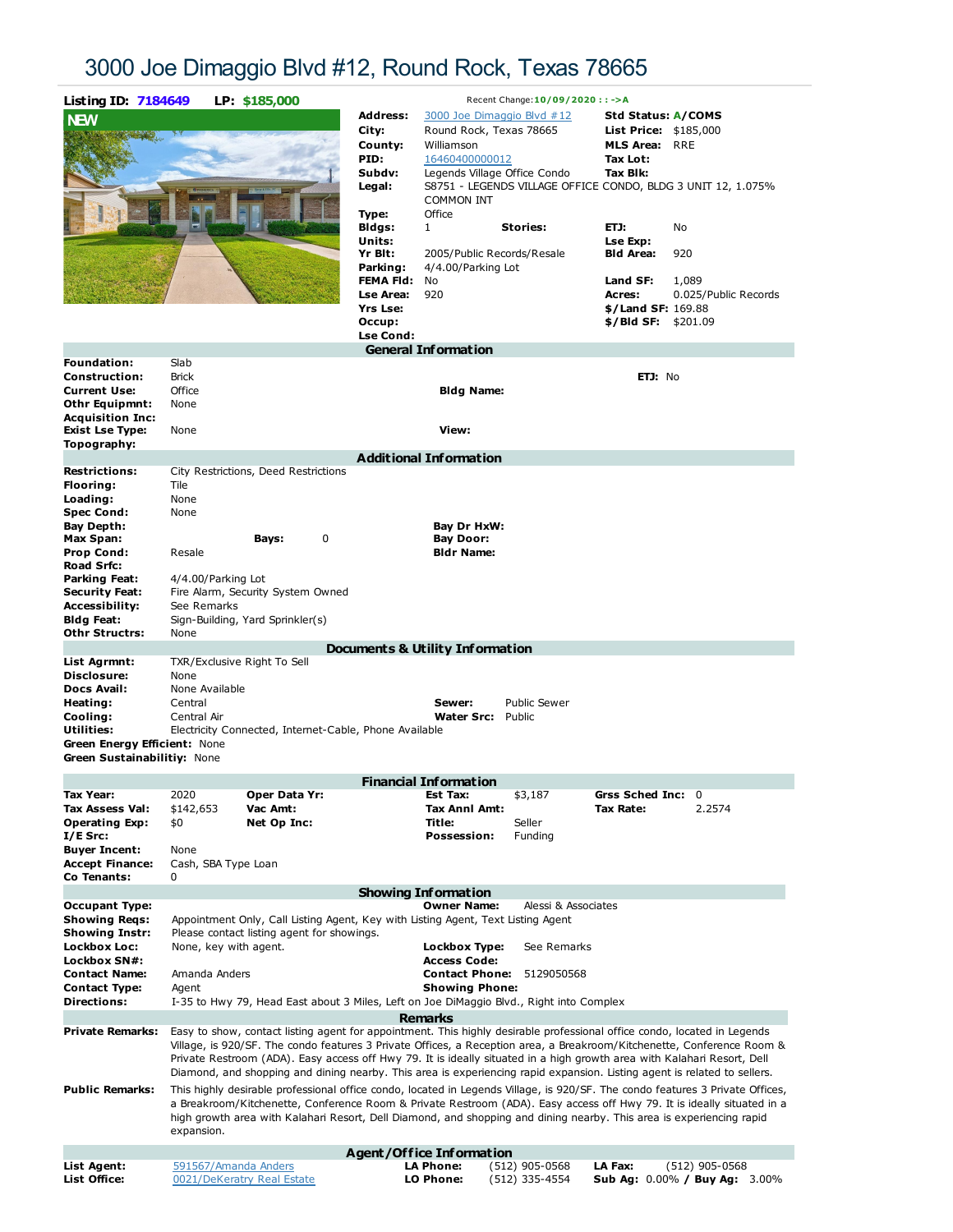## 3000 Joe Dimaggio Blvd #12, Round Rock, Texas 78665



| <b>NEW</b>                                                                                                                                                                                                                   |                                                                                                                                                                                                                                                                                                                                                                                                                                                                                                                             | <b>Address:</b><br>City:<br>County:<br>PID:<br>Subdv:<br>Legal:<br>Type:<br>Bidgs:<br>Units:<br>Yr Blt:<br>Parking:<br><b>Lse Area:</b><br><b>Yrs Lse:</b><br>Occup: | Round Rock, Texas 78665<br>Williamson<br>16460400000012<br><b>COMMON INT</b><br>Office<br>$\mathbf{1}$<br>4/4.00/Parking Lot<br>FEMA Fld: No<br>920 | 3000 Joe Dimaggio Blvd #12<br>Legends Village Office Condo<br><b>Stories:</b><br>2005/Public Records/Resale | Std Status: A/COMS<br><b>List Price: \$185,000</b><br><b>MLS Area: RRE</b><br>Tax Lot:<br>Tax Blk:<br>ETJ:<br>Lse Exp:<br><b>Bld Area:</b><br>Land SF:<br>Acres:<br>$$/$ Land SF: 169.88<br>\$/Bld SF: | S8751 - LEGENDS VILLAGE OFFICE CONDO, BLDG 3 UNIT 12, 1.075%<br>No<br>920<br>1,089<br>0.025/Public Records<br>\$201.09                                                                                                                                  |
|------------------------------------------------------------------------------------------------------------------------------------------------------------------------------------------------------------------------------|-----------------------------------------------------------------------------------------------------------------------------------------------------------------------------------------------------------------------------------------------------------------------------------------------------------------------------------------------------------------------------------------------------------------------------------------------------------------------------------------------------------------------------|----------------------------------------------------------------------------------------------------------------------------------------------------------------------|-----------------------------------------------------------------------------------------------------------------------------------------------------|-------------------------------------------------------------------------------------------------------------|--------------------------------------------------------------------------------------------------------------------------------------------------------------------------------------------------------|---------------------------------------------------------------------------------------------------------------------------------------------------------------------------------------------------------------------------------------------------------|
|                                                                                                                                                                                                                              |                                                                                                                                                                                                                                                                                                                                                                                                                                                                                                                             | <b>Lse Cond:</b>                                                                                                                                                     |                                                                                                                                                     |                                                                                                             |                                                                                                                                                                                                        |                                                                                                                                                                                                                                                         |
|                                                                                                                                                                                                                              |                                                                                                                                                                                                                                                                                                                                                                                                                                                                                                                             |                                                                                                                                                                      | <b>General Information</b>                                                                                                                          |                                                                                                             |                                                                                                                                                                                                        |                                                                                                                                                                                                                                                         |
| Foundation:<br><b>Construction:</b><br><b>Current Use:</b><br>Othr Equipmnt:<br><b>Acquisition Inc:</b><br><b>Exist Lse Type:</b><br>Topography:                                                                             | Slab<br><b>Brick</b><br>Office<br>None<br>None                                                                                                                                                                                                                                                                                                                                                                                                                                                                              |                                                                                                                                                                      | Bldg Name:<br>View:                                                                                                                                 |                                                                                                             | ETJ: No                                                                                                                                                                                                |                                                                                                                                                                                                                                                         |
|                                                                                                                                                                                                                              |                                                                                                                                                                                                                                                                                                                                                                                                                                                                                                                             |                                                                                                                                                                      | <b>Additional Information</b>                                                                                                                       |                                                                                                             |                                                                                                                                                                                                        |                                                                                                                                                                                                                                                         |
| <b>Restrictions:</b><br>Flooring:<br>Loading:<br><b>Spec Cond:</b><br>Bay Depth:<br>Max Span:<br><b>Prop Cond:</b><br>Road Srfc:<br>Parking Feat:<br><b>Security Feat:</b><br>Accessibility:<br>Bidg Feat:<br>Othr Structrs: | City Restrictions, Deed Restrictions<br>Tile<br>None<br>None<br>Bays:<br>Resale<br>4/4.00/Parking Lot<br>Fire Alarm, Security System Owned<br>See Remarks<br>Sign-Building, Yard Sprinkler(s)<br>None                                                                                                                                                                                                                                                                                                                       | 0                                                                                                                                                                    | Bay Dr HxW:<br><b>Bay Door:</b><br><b>Bldr Name:</b><br>Documents & Utility Information                                                             |                                                                                                             |                                                                                                                                                                                                        |                                                                                                                                                                                                                                                         |
| List Agrmnt:                                                                                                                                                                                                                 | TXR/Exclusive Right To Sell                                                                                                                                                                                                                                                                                                                                                                                                                                                                                                 |                                                                                                                                                                      |                                                                                                                                                     |                                                                                                             |                                                                                                                                                                                                        |                                                                                                                                                                                                                                                         |
| Disclosure:<br>Docs Avail:<br>Heating:<br>Cooling:<br>Utilities:<br>Green Energy Efficient: None<br>Green Sustainabilitiy: None                                                                                              | None<br>None Available<br>Central<br>Central Air<br>Electricity Connected, Internet-Cable, Phone Available                                                                                                                                                                                                                                                                                                                                                                                                                  |                                                                                                                                                                      | Sewer:<br><b>Water Src:</b>                                                                                                                         | <b>Public Sewer</b><br>Public                                                                               |                                                                                                                                                                                                        |                                                                                                                                                                                                                                                         |
|                                                                                                                                                                                                                              |                                                                                                                                                                                                                                                                                                                                                                                                                                                                                                                             |                                                                                                                                                                      | <b>Financial Information</b>                                                                                                                        |                                                                                                             |                                                                                                                                                                                                        |                                                                                                                                                                                                                                                         |
| <b>Tax Year:</b><br>Tax Assess Val:<br><b>Operating Exp:</b><br>$I/E$ Src:<br><b>Buyer Incent:</b><br><b>Accept Finance:</b><br>Co Tenants:                                                                                  | 2020<br>\$142,653<br>Vac Amt:<br>\$0<br>Net Op Inc:<br>None<br>Cash, SBA Type Loan<br>0                                                                                                                                                                                                                                                                                                                                                                                                                                     | Oper Data Yr:                                                                                                                                                        | Est Tax:<br>Tax Anni Amt:<br>Title:<br><b>Possession:</b>                                                                                           | \$3,187<br>Seller<br>Funding                                                                                | Grss Sched Inc: 0<br>Tax Rate:                                                                                                                                                                         | 2.2574                                                                                                                                                                                                                                                  |
| <b>Occupant Type:</b>                                                                                                                                                                                                        |                                                                                                                                                                                                                                                                                                                                                                                                                                                                                                                             |                                                                                                                                                                      | <b>Showing Information</b><br><b>Owner Name:</b>                                                                                                    | Alessi & Associates                                                                                         |                                                                                                                                                                                                        |                                                                                                                                                                                                                                                         |
| <b>Showing Regs:</b><br><b>Showing Instr:</b><br>Lockbox Loc:<br>Lockbox SN#:<br><b>Contact Name:</b><br><b>Contact Type:</b><br><b>Directions:</b>                                                                          | Appointment Only, Call Listing Agent, Key with Listing Agent, Text Listing Agent<br>Please contact listing agent for showings.<br>None, key with agent.<br>Amanda Anders<br>Agent<br>I-35 to Hwy 79, Head East about 3 Miles, Left on Joe DiMaggio Blvd., Right into Complex                                                                                                                                                                                                                                                |                                                                                                                                                                      | <b>Lockbox Type:</b><br><b>Access Code:</b><br><b>Contact Phone:</b><br><b>Showing Phone:</b>                                                       | See Remarks<br>5129050568                                                                                   |                                                                                                                                                                                                        |                                                                                                                                                                                                                                                         |
| <b>Private Remarks:</b>                                                                                                                                                                                                      | <b>Remarks</b><br>Easy to show, contact listing agent for appointment. This highly desirable professional office condo, located in Legends<br>Village, is 920/SF. The condo features 3 Private Offices, a Reception area, a Breakroom/Kitchenette, Conference Room &<br>Private Restroom (ADA). Easy access off Hwy 79. It is ideally situated in a high growth area with Kalahari Resort, Dell<br>Diamond, and shopping and dining nearby. This area is experiencing rapid expansion. Listing agent is related to sellers. |                                                                                                                                                                      |                                                                                                                                                     |                                                                                                             |                                                                                                                                                                                                        |                                                                                                                                                                                                                                                         |
| <b>Public Remarks:</b>                                                                                                                                                                                                       | high growth area with Kalahari Resort, Dell Diamond, and shopping and dining nearby. This area is experiencing rapid<br>expansion.                                                                                                                                                                                                                                                                                                                                                                                          |                                                                                                                                                                      |                                                                                                                                                     |                                                                                                             |                                                                                                                                                                                                        | This highly desirable professional office condo, located in Legends Village, is 920/SF. The condo features 3 Private Offices,<br>a Breakroom/Kitchenette, Conference Room & Private Restroom (ADA). Easy access off Hwy 79. It is ideally situated in a |
|                                                                                                                                                                                                                              |                                                                                                                                                                                                                                                                                                                                                                                                                                                                                                                             |                                                                                                                                                                      | <b>Agent/Office Information</b>                                                                                                                     |                                                                                                             |                                                                                                                                                                                                        |                                                                                                                                                                                                                                                         |
| List Agent:<br>List Office:                                                                                                                                                                                                  | 591567/Amanda Anders<br>0021/DeKeratry Real Estate                                                                                                                                                                                                                                                                                                                                                                                                                                                                          |                                                                                                                                                                      | <b>LA Phone:</b><br>LO Phone:                                                                                                                       | (512) 905-0568<br>(512) 335-4554                                                                            | LA Fax:                                                                                                                                                                                                | $(512)$ 905-0568<br><b>Sub Ag: 0.00% / Buv Ag: 3.00%</b>                                                                                                                                                                                                |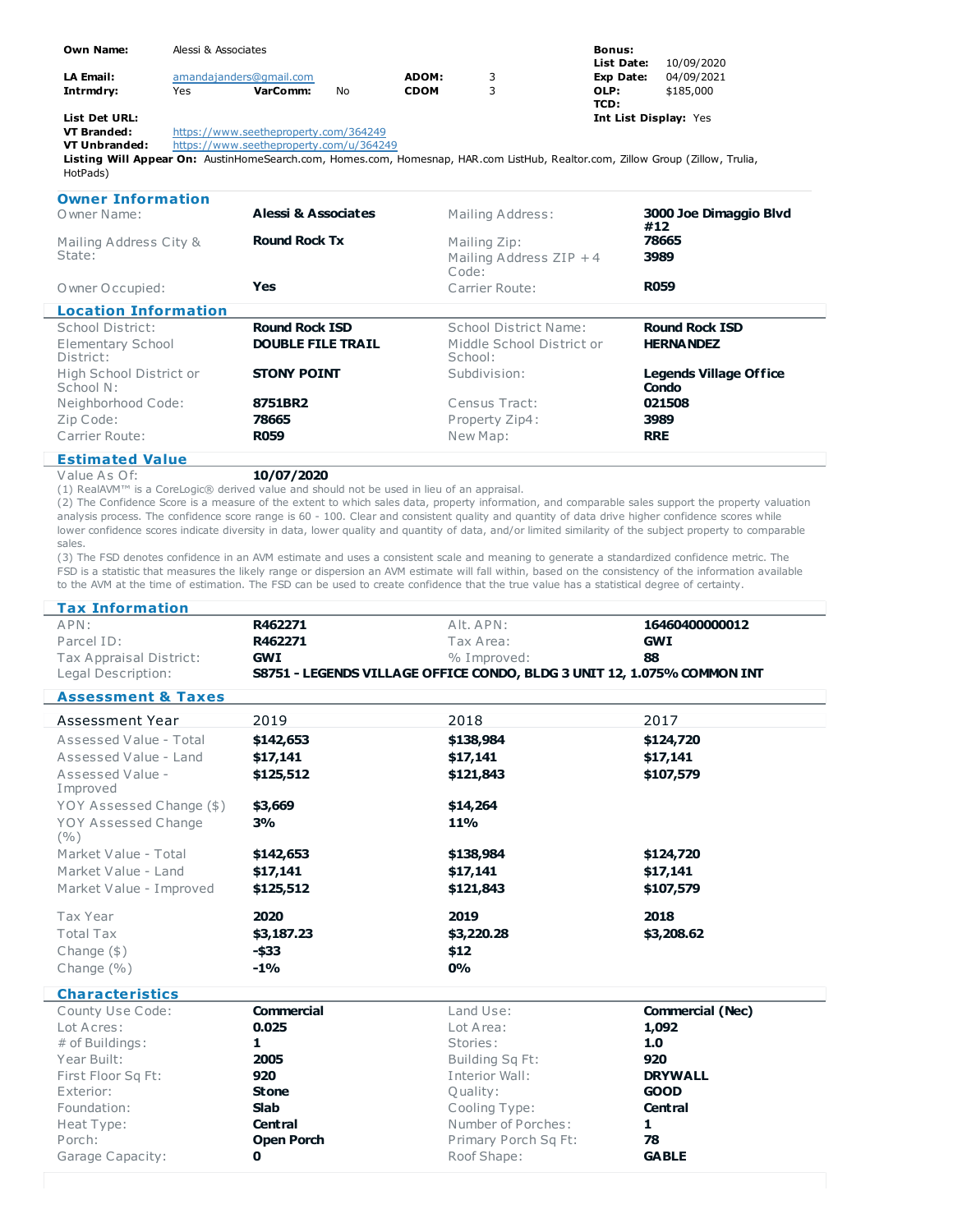| <b>Own Name:</b> | Alessi & Associates                   |                         |    |             | <b>Bonus:</b> |                              |            |  |
|------------------|---------------------------------------|-------------------------|----|-------------|---------------|------------------------------|------------|--|
|                  |                                       |                         |    |             |               | List Date:                   | 10/09/2020 |  |
| <b>LA Email:</b> |                                       | amandajanders@gmail.com |    | ADOM:       | 3             | Exp Date:                    | 04/09/2021 |  |
| Intrmdry:        | Yes                                   | VarComm:                | No | <b>CDOM</b> |               | OLP:                         | \$185,000  |  |
|                  |                                       |                         |    |             |               | TCD:                         |            |  |
| List Det URL:    |                                       |                         |    |             |               | <b>Int List Display: Yes</b> |            |  |
| VT Branded:      | https://www.seetheproperty.com/364249 |                         |    |             |               |                              |            |  |

**VT Branded:** <https://www.seetheproperty.com/364249><br>**VT Unbranded:** https://www.seetheproperty.com/u/36424

<https://www.seetheproperty.com/u/364249>

**Listing Will Appear On:** AustinHomeSearch.com, Homes.com, Homesnap, HAR.com ListHub, Realtor.com, Zillow Group (Zillow, Trulia, HotPads)

| <b>Owner Information</b><br>O wner Name: | Alessi & Associates      | Mailing Address:                     | 3000 Joe Dimaggio Blvd<br>#12          |
|------------------------------------------|--------------------------|--------------------------------------|----------------------------------------|
| Mailing Address City &                   | <b>Round Rock Tx</b>     | Mailing Zip:                         | 78665                                  |
| State:                                   |                          | Mailing Address $ZIP + 4$<br>Code:   | 3989                                   |
| O wner O ccupied:                        | Yes                      | Carrier Route:                       | <b>R059</b>                            |
| <b>Location Information</b>              |                          |                                      |                                        |
| School District:                         | <b>Round Rock ISD</b>    | School District Name:                | <b>Round Rock ISD</b>                  |
| Elementary School<br>District:           | <b>DOUBLE FILE TRAIL</b> | Middle School District or<br>School: | <b>HERNANDEZ</b>                       |
| High School District or<br>School N:     | <b>STONY POINT</b>       | Subdivision:                         | <b>Legends Village Office</b><br>Condo |
| Neighborhood Code:                       | 8751BR2                  | Census Tract:                        | 021508                                 |
| Zip Code:                                | 78665                    | Property Zip4:                       | 3989                                   |
| Carrier Route:                           | <b>R059</b>              | New Map:                             | <b>RRE</b>                             |

Value As Of: **10/07/2020**

(1) RealAVM™ is a CoreLogic® derived value and should not be used in lieu of an appraisal.

(2) The Confidence Score is a measure of the extent to which sales data, property information, and comparable sales support the property valuation analysis process. The confidence score range is 60 - 100. Clear and consistent quality and quantity of data drive higher confidence scores while lower confidence scores indicate diversity in data, lower quality and quantity of data, and/or limited similarity of the subject property to comparable sales.

(3) The FSD denotes confidence in an AVM estimate and uses a consistent scale and meaning to generate a standardized confidence metric. The FSD is a statistic that measures the likely range or dispersion an AVM estimate will fall within, based on the consistency of the information available to the AVM at the time of estimation. The FSD can be used to create confidence that the true value has a statistical degree of certainty.

| <b>Tax Information</b>        |                   |                                                                         |                         |  |
|-------------------------------|-------------------|-------------------------------------------------------------------------|-------------------------|--|
| APN:<br>R462271               |                   | Alt. APN:                                                               | 16460400000012          |  |
| Parcel ID:<br>R462271         |                   | Tax Area:                                                               | <b>GWI</b>              |  |
| Tax Appraisal District:       | <b>GWI</b>        | % Improved:                                                             | 88                      |  |
| Legal Description:            |                   | S8751 - LEGENDS VILLAGE OFFICE CONDO, BLDG 3 UNIT 12, 1.075% COMMON INT |                         |  |
| <b>Assessment &amp; Taxes</b> |                   |                                                                         |                         |  |
| <b>Assessment Year</b>        | 2019              | 2018                                                                    | 2017                    |  |
| Assessed Value - Total        | \$142,653         | \$138,984                                                               | \$124,720               |  |
| Assessed Value - Land         | \$17,141          | \$17,141                                                                | \$17,141                |  |
| Assessed Value -<br>Improved  | \$125,512         | \$121,843                                                               | \$107,579               |  |
| YOY Assessed Change (\$)      | \$3,669           | \$14,264                                                                |                         |  |
| YOY Assessed Change<br>(9/0)  | 3%                | <b>11%</b>                                                              |                         |  |
| Market Value - Total          | \$142,653         | \$138,984                                                               | \$124,720               |  |
| Market Value - Land           | \$17,141          | \$17,141                                                                | \$17,141                |  |
| Market Value - Improved       | \$125,512         | \$121,843                                                               | \$107,579               |  |
| Tax Year                      | 2020              | 2019                                                                    | 2018                    |  |
| <b>Total Tax</b>              | \$3,187.23        | \$3,220.28                                                              | \$3,208.62              |  |
| Change $(\$)$                 | $-$ \$33          | \$12                                                                    |                         |  |
| Change $(\% )$                | $-1\%$            | 0%                                                                      |                         |  |
| <b>Characteristics</b>        |                   |                                                                         |                         |  |
| County Use Code:              | Commercial        | Land Use:                                                               | <b>Commercial (Nec)</b> |  |
| Lot Acres:                    | 0.025             | Lot Area:                                                               | 1,092                   |  |
| # of Buildings:               | 1                 | Stories:                                                                | 1.0                     |  |
| Year Built:                   | 2005              | Building Sq Ft:                                                         | 920                     |  |
| First Floor Sq Ft:            | 920               | Interior Wall:                                                          | <b>DRYWALL</b>          |  |
| Exterior:                     | <b>Stone</b>      | Quality:                                                                | <b>GOOD</b>             |  |
| Foundation:                   | <b>Slab</b>       | Cooling Type:                                                           | <b>Central</b>          |  |
| Heat Type:                    | <b>Central</b>    | Number of Porches:<br>Primary Porch Sq Ft:                              | 1                       |  |
| Porch:                        | <b>Open Porch</b> |                                                                         | 78                      |  |
| Garage Capacity:              | 0                 | Roof Shape:                                                             | <b>GABLE</b>            |  |